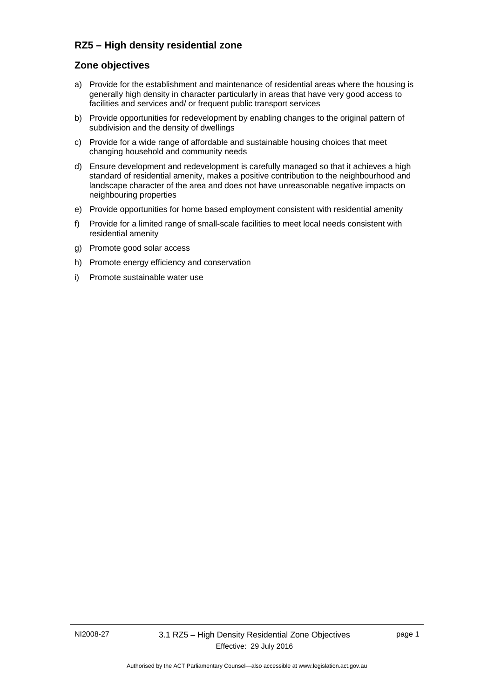# **RZ5 – High density residential zone**

## **Zone objectives**

- a) Provide for the establishment and maintenance of residential areas where the housing is generally high density in character particularly in areas that have very good access to facilities and services and/ or frequent public transport services
- b) Provide opportunities for redevelopment by enabling changes to the original pattern of subdivision and the density of dwellings
- c) Provide for a wide range of affordable and sustainable housing choices that meet changing household and community needs
- d) Ensure development and redevelopment is carefully managed so that it achieves a high standard of residential amenity, makes a positive contribution to the neighbourhood and landscape character of the area and does not have unreasonable negative impacts on neighbouring properties
- e) Provide opportunities for home based employment consistent with residential amenity
- f) Provide for a limited range of small-scale facilities to meet local needs consistent with residential amenity
- g) Promote good solar access
- h) Promote energy efficiency and conservation
- i) Promote sustainable water use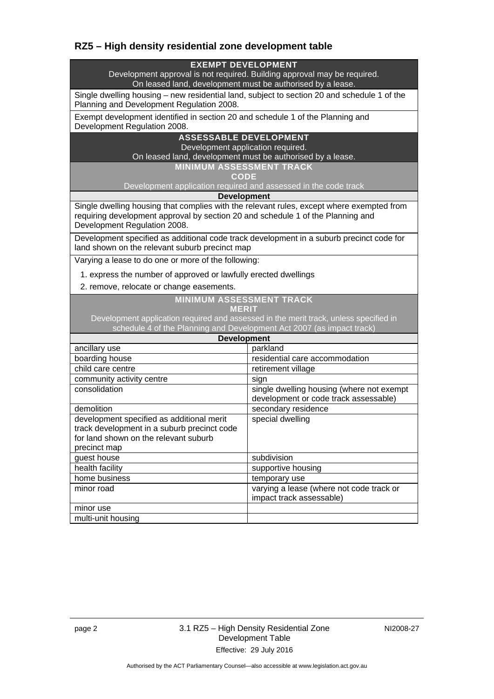# **RZ5 – High density residential zone development table**

### **EXEMPT DEVELOPMENT**

Development approval is not required. Building approval may be required. On leased land, development must be authorised by a lease.

Single dwelling housing – new residential land, subject to section 20 and schedule 1 of the Planning and Development Regulation 2008.

Exempt development identified in section 20 and schedule 1 of the Planning and Development Regulation 2008.

#### **ASSESSABLE DEVELOPMENT**

Development application required.

On leased land, development must be authorised by a lease.

**MINIMUM ASSESSMENT TRACK CODE** 

Development application required and assessed in the code track

**Development**

Single dwelling housing that complies with the relevant rules, except where exempted from requiring development approval by section 20 and schedule 1 of the Planning and Development Regulation 2008.

Development specified as additional code track development in a suburb precinct code for land shown on the relevant suburb precinct map

Varying a lease to do one or more of the following:

1. express the number of approved or lawfully erected dwellings

2. remove, relocate or change easements.

### **MINIMUM ASSESSMENT TRACK**

|             |   |              | - |
|-------------|---|--------------|---|
|             |   |              |   |
|             | W |              |   |
| u<br>ـ<br>ー | ÷ | ー<br>∼<br>ı. | ـ |

Development application required and assessed in the merit track, unless specified in schedule 4 of the Planning and Development Act 2007 (as impact track)

| <b>Development</b>                                                                                                                                |                                                                                    |  |  |
|---------------------------------------------------------------------------------------------------------------------------------------------------|------------------------------------------------------------------------------------|--|--|
| ancillary use                                                                                                                                     | parkland                                                                           |  |  |
| boarding house                                                                                                                                    | residential care accommodation                                                     |  |  |
| child care centre                                                                                                                                 | retirement village                                                                 |  |  |
| community activity centre                                                                                                                         | sign                                                                               |  |  |
| consolidation                                                                                                                                     | single dwelling housing (where not exempt<br>development or code track assessable) |  |  |
| demolition                                                                                                                                        | secondary residence                                                                |  |  |
| development specified as additional merit<br>track development in a suburb precinct code<br>for land shown on the relevant suburb<br>precinct map | special dwelling                                                                   |  |  |
| guest house                                                                                                                                       | subdivision                                                                        |  |  |
| health facility                                                                                                                                   | supportive housing                                                                 |  |  |
| home business                                                                                                                                     | temporary use                                                                      |  |  |
| minor road                                                                                                                                        | varying a lease (where not code track or<br>impact track assessable)               |  |  |
| minor use                                                                                                                                         |                                                                                    |  |  |
| multi-unit housing                                                                                                                                |                                                                                    |  |  |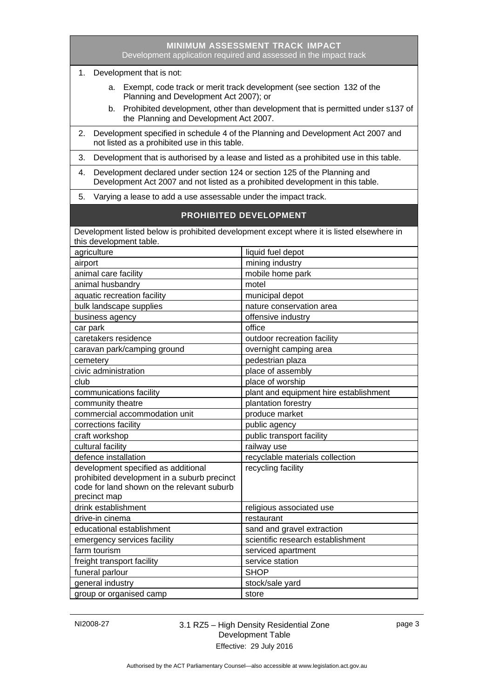| MINIMUM ASSESSMENT TRACK IMPACT<br>Development application required and assessed in the impact track                                                                                                    |                                        |  |  |
|---------------------------------------------------------------------------------------------------------------------------------------------------------------------------------------------------------|----------------------------------------|--|--|
| 1. Development that is not:                                                                                                                                                                             |                                        |  |  |
| a. Exempt, code track or merit track development (see section 132 of the<br>Planning and Development Act 2007); or<br>b. Prohibited development, other than development that is permitted under s137 of |                                        |  |  |
| the Planning and Development Act 2007.<br>Development specified in schedule 4 of the Planning and Development Act 2007 and<br>2.<br>not listed as a prohibited use in this table.                       |                                        |  |  |
| Development that is authorised by a lease and listed as a prohibited use in this table.<br>3.                                                                                                           |                                        |  |  |
| Development declared under section 124 or section 125 of the Planning and<br>4.<br>Development Act 2007 and not listed as a prohibited development in this table.                                       |                                        |  |  |
| Varying a lease to add a use assessable under the impact track.<br>5.                                                                                                                                   |                                        |  |  |
| <b>PROHIBITED DEVELOPMENT</b>                                                                                                                                                                           |                                        |  |  |
| Development listed below is prohibited development except where it is listed elsewhere in<br>this development table.                                                                                    |                                        |  |  |
| agriculture                                                                                                                                                                                             | liquid fuel depot                      |  |  |
| airport                                                                                                                                                                                                 | mining industry                        |  |  |
| animal care facility                                                                                                                                                                                    | mobile home park                       |  |  |
| animal husbandry                                                                                                                                                                                        | motel                                  |  |  |
| aquatic recreation facility                                                                                                                                                                             | municipal depot                        |  |  |
| bulk landscape supplies                                                                                                                                                                                 | nature conservation area               |  |  |
| business agency                                                                                                                                                                                         | offensive industry                     |  |  |
| car park                                                                                                                                                                                                | office                                 |  |  |
| caretakers residence                                                                                                                                                                                    | outdoor recreation facility            |  |  |
| caravan park/camping ground                                                                                                                                                                             | overnight camping area                 |  |  |
| cemetery                                                                                                                                                                                                | pedestrian plaza                       |  |  |
| civic administration                                                                                                                                                                                    | place of assembly                      |  |  |
| club                                                                                                                                                                                                    | place of worship                       |  |  |
| communications facility                                                                                                                                                                                 | plant and equipment hire establishment |  |  |
| community theatre                                                                                                                                                                                       | plantation forestry                    |  |  |
| commercial accommodation unit                                                                                                                                                                           | produce market                         |  |  |
| corrections facility                                                                                                                                                                                    | public agency                          |  |  |
| craft workshop                                                                                                                                                                                          | public transport facility              |  |  |
| cultural facility                                                                                                                                                                                       | railway use                            |  |  |
| defence installation                                                                                                                                                                                    | recyclable materials collection        |  |  |
| development specified as additional<br>prohibited development in a suburb precinct<br>code for land shown on the relevant suburb<br>precinct map                                                        | recycling facility                     |  |  |
| drink establishment                                                                                                                                                                                     | religious associated use               |  |  |
| drive-in cinema                                                                                                                                                                                         | restaurant                             |  |  |
| educational establishment                                                                                                                                                                               | sand and gravel extraction             |  |  |
| emergency services facility                                                                                                                                                                             | scientific research establishment      |  |  |
| farm tourism                                                                                                                                                                                            | serviced apartment                     |  |  |
| freight transport facility                                                                                                                                                                              | service station                        |  |  |
| funeral parlour                                                                                                                                                                                         | <b>SHOP</b>                            |  |  |
| general industry                                                                                                                                                                                        | stock/sale yard                        |  |  |
| group or organised camp                                                                                                                                                                                 | store                                  |  |  |

# NI2008-27 3.1 RZ5 – High Density Residential Zone Development Table Effective: 29 July 2016